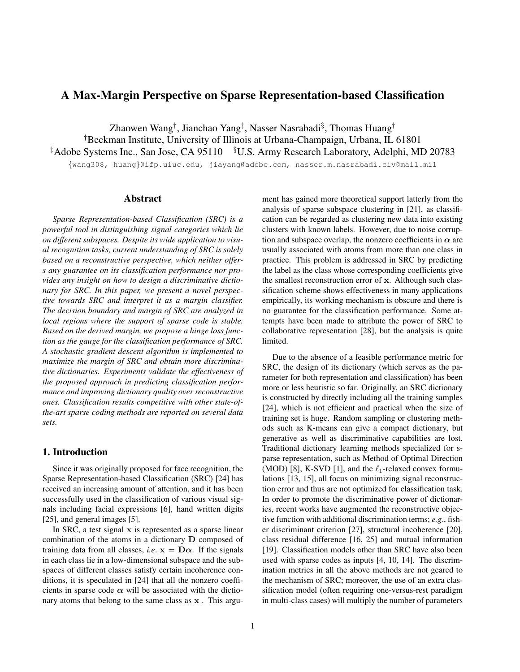## A Max-Margin Perspective on Sparse Representation-based Classification

Zhaowen Wang*†* , Jianchao Yang*‡* , Nasser Nasrabadi*§* , Thomas Huang*† †*Beckman Institute, University of Illinois at Urbana-Champaign, Urbana, IL 61801 *‡*Adobe Systems Inc., San Jose, CA 95110 *§*U.S. Army Research Laboratory, Adelphi, MD 20783 *{*wang308, huang*}*@ifp.uiuc.edu, jiayang@adobe.com, nasser.m.nasrabadi.civ@mail.mil

# Abstract

*Sparse Representation-based Classification (SRC) is a powerful tool in distinguishing signal categories which lie on different subspaces. Despite its wide application to visual recognition tasks, current understanding of SRC is solely based on a reconstructive perspective, which neither offers any guarantee on its classification performance nor provides any insight on how to design a discriminative dictionary for SRC. In this paper, we present a novel perspective towards SRC and interpret it as a margin classifier. The decision boundary and margin of SRC are analyzed in local regions where the support of sparse code is stable. Based on the derived margin, we propose a hinge loss function as the gauge for the classification performance of SRC. A stochastic gradient descent algorithm is implemented to maximize the margin of SRC and obtain more discriminative dictionaries. Experiments validate the effectiveness of the proposed approach in predicting classification performance and improving dictionary quality over reconstructive ones. Classification results competitive with other state-ofthe-art sparse coding methods are reported on several data sets.*

## 1. Introduction

Since it was originally proposed for face recognition, the Sparse Representation-based Classification (SRC) [24] has received an increasing amount of attention, and it has been successfully used in the classification of various visual signals including facial expressions [6], hand written digits [25], and general images [5].

In SRC, a test signal **x** is represented as a sparse linear combination of the atoms in a dictionary **D** composed of training data from all classes, *i.e.*  $x = D\alpha$ . If the signals in each class lie in a low-dimensional subspace and the subspaces of different classes satisfy certain incoherence conditions, it is speculated in [24] that all the nonzero coefficients in sparse code  $\alpha$  will be associated with the dictionary atoms that belong to the same class as **x** . This argument has gained more theoretical support latterly from the analysis of sparse subspace clustering in [21], as classification can be regarded as clustering new data into existing clusters with known labels. However, due to noise corruption and subspace overlap, the nonzero coefficients in  $\alpha$  are usually associated with atoms from more than one class in practice. This problem is addressed in SRC by predicting the label as the class whose corresponding coefficients give the smallest reconstruction error of **x**. Although such classification scheme shows effectiveness in many applications empirically, its working mechanism is obscure and there is no guarantee for the classification performance. Some attempts have been made to attribute the power of SRC to collaborative representation [28], but the analysis is quite limited.

Due to the absence of a feasible performance metric for SRC, the design of its dictionary (which serves as the parameter for both representation and classification) has been more or less heuristic so far. Originally, an SRC dictionary is constructed by directly including all the training samples [24], which is not efficient and practical when the size of training set is huge. Random sampling or clustering methods such as K-means can give a compact dictionary, but generative as well as discriminative capabilities are lost. Traditional dictionary learning methods specialized for sparse representation, such as Method of Optimal Direction (MOD) [8], K-SVD [1], and the *ℓ*1-relaxed convex formulations [13, 15], all focus on minimizing signal reconstruction error and thus are not optimized for classification task. In order to promote the discriminative power of dictionaries, recent works have augmented the reconstructive objective function with additional discrimination terms; *e.g*., fisher discriminant criterion [27], structural incoherence [20], class residual difference [16, 25] and mutual information [19]. Classification models other than SRC have also been used with sparse codes as inputs [4, 10, 14]. The discrimination metrics in all the above methods are not geared to the mechanism of SRC; moreover, the use of an extra classification model (often requiring one-versus-rest paradigm in multi-class cases) will multiply the number of parameters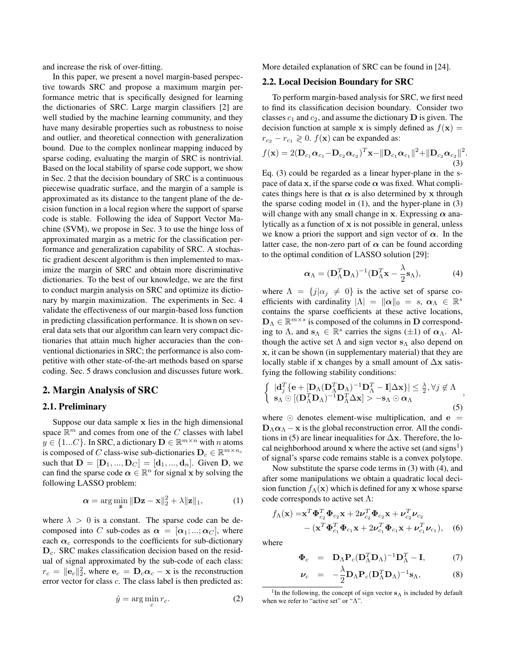and increase the risk of over-fitting.

In this paper, we present a novel margin-based perspective towards SRC and propose a maximum margin performance metric that is specifically designed for learning the dictionaries of SRC. Large margin classifiers [2] are well studied by the machine learning community, and they have many desirable properties such as robustness to noise and outlier, and theoretical connection with generalization bound. Due to the complex nonlinear mapping induced by sparse coding, evaluating the margin of SRC is nontrivial. Based on the local stability of sparse code support, we show in Sec. 2 that the decision boundary of SRC is a continuous piecewise quadratic surface, and the margin of a sample is approximated as its distance to the tangent plane of the decision function in a local region where the support of sparse code is stable. Following the idea of Support Vector Machine (SVM), we propose in Sec. 3 to use the hinge loss of approximated margin as a metric for the classification performance and generalization capability of SRC. A stochastic gradient descent algorithm is then implemented to maximize the margin of SRC and obtain more discriminative dictionaries. To the best of our knowledge, we are the first to conduct margin analysis on SRC and optimize its dictionary by margin maximization. The experiments in Sec. 4 validate the effectiveness of our margin-based loss function in predicting classification performance. It is shown on several data sets that our algorithm can learn very compact dictionaries that attain much higher accuracies than the conventional dictionaries in SRC; the performance is also competitive with other state-of-the-art methods based on sparse coding. Sec. 5 draws conclusion and discusses future work.

#### 2. Margin Analysis of SRC

#### 2.1. Preliminary

Suppose our data sample **x** lies in the high dimensional space R *<sup>m</sup>* and comes from one of the *C* classes with label  $y \in \{1...C\}$ . In SRC, a dictionary  $\mathbf{D} \in \mathbb{R}^{m \times n}$  with *n* atoms is composed of *C* class-wise sub-dictionaries  $\mathbf{D}_c \in \mathbb{R}^{m \times n_c}$ such that  $D = [D_1, ..., D_C] = [d_1, ..., d_n]$ . Given D, we can find the sparse code  $\alpha \in \mathbb{R}^n$  for signal **x** by solving the following LASSO problem:

$$
\alpha = \arg\min_{\mathbf{z}} \|\mathbf{D}\mathbf{z} - \mathbf{x}\|_2^2 + \lambda \|\mathbf{z}\|_1,\tag{1}
$$

where  $\lambda > 0$  is a constant. The sparse code can be decomposed into *C* sub-codes as  $\alpha = [\alpha_1; ...; \alpha_C]$ , where each  $\alpha_c$  corresponds to the coefficients for sub-dictionary **D***c*. SRC makes classification decision based on the residual of signal approximated by the sub-code of each class:  $r_c = ||\mathbf{e}_c||_2^2$ , where  $\mathbf{e}_c = \mathbf{D}_c \alpha_c - \mathbf{x}$  is the reconstruction error vector for class *c*. The class label is then predicted as:

$$
\hat{y} = \arg\min_{c} r_c.
$$
 (2)

More detailed explanation of SRC can be found in [24].

#### 2.2. Local Decision Boundary for SRC

To perform margin-based analysis for SRC, we first need to find its classification decision boundary. Consider two classes  $c_1$  and  $c_2$ , and assume the dictionary **D** is given. The decision function at sample **x** is simply defined as  $f(\mathbf{x}) =$  $r_{c_2} - r_{c_1} \geq 0$ .  $f(\mathbf{x})$  can be expanded as:

$$
f(\mathbf{x}) = 2(\mathbf{D}_{c_1}\boldsymbol{\alpha}_{c_1} - \mathbf{D}_{c_2}\boldsymbol{\alpha}_{c_2})^T \mathbf{x} - ||\mathbf{D}_{c_1}\boldsymbol{\alpha}_{c_1}||^2 + ||\mathbf{D}_{c_2}\boldsymbol{\alpha}_{c_2}||^2.
$$
\n(3)

Eq. (3) could be regarded as a linear hyper-plane in the space of data **x**, if the sparse code  $\alpha$  was fixed. What complicates things here is that  $\alpha$  is also determined by x through the sparse coding model in (1), and the hyper-plane in (3) will change with any small change in **x**. Expressing  $\alpha$  analytically as a function of **x** is not possible in general, unless we know a priori the support and sign vector of  $\alpha$ . In the latter case, the non-zero part of  $\alpha$  can be found according to the optimal condition of LASSO solution [29]:

$$
\boldsymbol{\alpha}_{\Lambda} = (\mathbf{D}_{\Lambda}^T \mathbf{D}_{\Lambda})^{-1} (\mathbf{D}_{\Lambda}^T \mathbf{x} - \frac{\lambda}{2} \mathbf{s}_{\Lambda}), \tag{4}
$$

where  $\Lambda = \{j|\alpha_j \neq 0\}$  is the active set of sparse coefficients with cardinality  $|\Lambda| = ||\boldsymbol{\alpha}||_0 = s, \boldsymbol{\alpha}_{\Lambda} \in \mathbb{R}^s$ contains the sparse coefficients at these active locations, **D**<sup>Λ</sup> *∈* R *m×s* is composed of the columns in **D** corresponding to  $\Lambda$ , and  $\mathbf{s}_{\Lambda} \in \mathbb{R}^s$  carries the signs ( $\pm 1$ ) of  $\alpha_{\Lambda}$ . Although the active set  $\Lambda$  and sign vector  $s_\Lambda$  also depend on **x**, it can be shown (in supplementary material) that they are locally stable if **x** changes by a small amount of ∆**x** satisfying the following stability conditions:

$$
\begin{cases} |\mathbf{d}_{j}^{T}\{\mathbf{e} + [\mathbf{D}_{\Lambda}(\mathbf{D}_{\Lambda}^{T}\mathbf{D}_{\Lambda})^{-1}\mathbf{D}_{\Lambda}^{T} - \mathbf{I}]\Delta\mathbf{x}\}| \leq \frac{\lambda}{2}, \forall j \notin \Lambda \\ \mathbf{s}_{\Lambda} \odot [(\mathbf{D}_{\Lambda}^{T}\mathbf{D}_{\Lambda})^{-1}\mathbf{D}_{\Lambda}^{T}\Delta\mathbf{x}] > -\mathbf{s}_{\Lambda} \odot \alpha_{\Lambda} \end{cases}
$$
(5)

*,*

where ⊙ denotes element-wise multiplication, and **e** =  $D_\Lambda \alpha_\Lambda - x$  is the global reconstruction error. All the conditions in (5) are linear inequalities for ∆**x**. Therefore, the local neighborhood around  $x$  where the active set (and signs<sup>1</sup>) of signal's sparse code remains stable is a convex polytope.

Now substitute the sparse code terms in (3) with (4), and after some manipulations we obtain a quadratic local decision function  $f_{\Lambda}(\mathbf{x})$  which is defined for any **x** whose sparse code corresponds to active set  $\Lambda$ :

$$
f_{\Lambda}(\mathbf{x}) = \mathbf{x}^{T} \mathbf{\Phi}_{c_{2}}^{T} \mathbf{\Phi}_{c_{2}} \mathbf{x} + 2 \nu_{c_{2}}^{T} \mathbf{\Phi}_{c_{2}} \mathbf{x} + \nu_{c_{2}}^{T} \nu_{c_{2}} - (\mathbf{x}^{T} \mathbf{\Phi}_{c_{1}}^{T} \mathbf{\Phi}_{c_{1}} \mathbf{x} + 2 \nu_{c_{1}}^{T} \mathbf{\Phi}_{c_{1}} \mathbf{x} + \nu_{c_{1}}^{T} \nu_{c_{1}}),
$$
 (6)

where

$$
\mathbf{\Phi}_c = \mathbf{D}_{\Lambda} \mathbf{P}_c (\mathbf{D}_{\Lambda}^T \mathbf{D}_{\Lambda})^{-1} \mathbf{D}_{\Lambda}^T - \mathbf{I}, \tag{7}
$$

$$
\nu_c = -\frac{\lambda}{2} \mathbf{D}_{\Lambda} \mathbf{P}_c (\mathbf{D}_{\Lambda}^T \mathbf{D}_{\Lambda})^{-1} \mathbf{s}_{\Lambda}, \tag{8}
$$

<sup>&</sup>lt;sup>1</sup>In the following, the concept of sign vector  $s_\Lambda$  is included by default when we refer to "active set" or " $\Lambda$ ".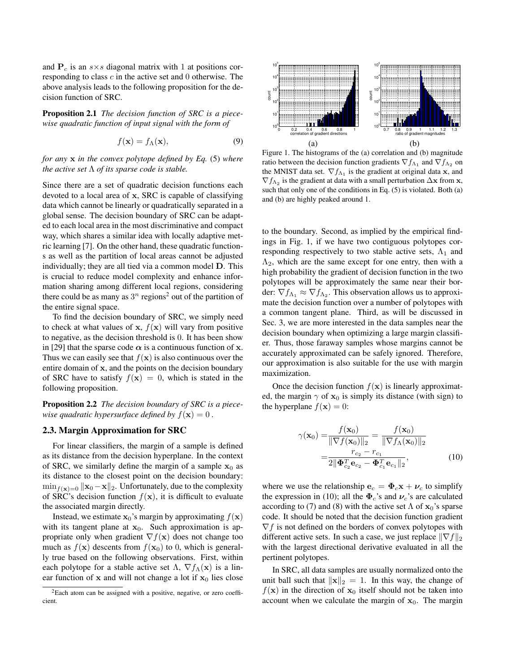and  $P_c$  is an  $s \times s$  diagonal matrix with 1 at positions corresponding to class *c* in the active set and 0 otherwise. The above analysis leads to the following proposition for the decision function of SRC.

Proposition 2.1 *The decision function of SRC is a piecewise quadratic function of input signal with the form of*

$$
f(\mathbf{x}) = f_{\Lambda}(\mathbf{x}),\tag{9}
$$

*for any* **x** *in the convex polytope defined by Eq.* (5) *where the active set* Λ *of its sparse code is stable.*

Since there are a set of quadratic decision functions each devoted to a local area of **x**, SRC is capable of classifying data which cannot be linearly or quadratically separated in a global sense. The decision boundary of SRC can be adapted to each local area in the most discriminative and compact way, which shares a similar idea with locally adaptive metric learning [7]. On the other hand, these quadratic functions as well as the partition of local areas cannot be adjusted individually; they are all tied via a common model **D**. This is crucial to reduce model complexity and enhance information sharing among different local regions, considering there could be as many as  $3^n$  regions<sup>2</sup> out of the partition of the entire signal space.

To find the decision boundary of SRC, we simply need to check at what values of **x**,  $f(\mathbf{x})$  will vary from positive to negative, as the decision threshold is 0. It has been show in [29] that the sparse code  $\alpha$  is a continuous function of **x**. Thus we can easily see that  $f(x)$  is also continuous over the entire domain of **x**, and the points on the decision boundary of SRC have to satisfy  $f(x) = 0$ , which is stated in the following proposition.

Proposition 2.2 *The decision boundary of SRC is a piecewise quadratic hypersurface defined by*  $f(\mathbf{x}) = 0$ .

### 2.3. Margin Approximation for SRC

For linear classifiers, the margin of a sample is defined as its distance from the decision hyperplane. In the context of SRC, we similarly define the margin of a sample  $x_0$  as its distance to the closest point on the decision boundary:  $\min_{f(\mathbf{x})=0} ||\mathbf{x}_0 - \mathbf{x}||_2$ . Unfortunately, due to the complexity of SRC's decision function  $f(x)$ , it is difficult to evaluate the associated margin directly.

Instead, we estimate  $\mathbf{x}_0$ 's margin by approximating  $f(\mathbf{x})$ with its tangent plane at  $x_0$ . Such approximation is appropriate only when gradient  $\nabla f(\mathbf{x})$  does not change too much as  $f(\mathbf{x})$  descents from  $f(\mathbf{x}_0)$  to 0, which is generally true based on the following observations. First, within each polytope for a stable active set  $\Lambda$ ,  $\nabla f_{\Lambda}(\mathbf{x})$  is a linear function of **x** and will not change a lot if  $x_0$  lies close



Figure 1. The histograms of the (a) correlation and (b) magnitude ratio between the decision function gradients  $\nabla f_{\Lambda_1}$  and  $\nabla f_{\Lambda_2}$  on the MNIST data set.  $\nabla f_{\Lambda_1}$  is the gradient at original data **x**, and  $\nabla f_{\Lambda_2}$  is the gradient at data with a small perturbation  $\Delta$ **x** from **x**, such that only one of the conditions in Eq. (5) is violated. Both (a) and (b) are highly peaked around 1.

to the boundary. Second, as implied by the empirical findings in Fig. 1, if we have two contiguous polytopes corresponding respectively to two stable active sets,  $\Lambda_1$  and  $\Lambda_2$ , which are the same except for one entry, then with a high probability the gradient of decision function in the two polytopes will be approximately the same near their border:  $\nabla f_{\Lambda_1} \approx \nabla f_{\Lambda_2}$ . This observation allows us to approximate the decision function over a number of polytopes with a common tangent plane. Third, as will be discussed in Sec. 3, we are more interested in the data samples near the decision boundary when optimizing a large margin classifier. Thus, those faraway samples whose margins cannot be accurately approximated can be safely ignored. Therefore, our approximation is also suitable for the use with margin maximization.

Once the decision function  $f(\mathbf{x})$  is linearly approximated, the margin  $\gamma$  of  $x_0$  is simply its distance (with sign) to the hyperplane  $f(\mathbf{x}) = 0$ :

$$
\gamma(\mathbf{x}_0) = \frac{f(\mathbf{x}_0)}{\|\nabla f(\mathbf{x}_0)\|_2} = \frac{f(\mathbf{x}_0)}{\|\nabla f_\Lambda(\mathbf{x}_0)\|_2}
$$

$$
= \frac{r_{c_2} - r_{c_1}}{2\|\boldsymbol{\Phi}_{c_2}^T \mathbf{e}_{c_2} - \boldsymbol{\Phi}_{c_1}^T \mathbf{e}_{c_1}\|_2},\tag{10}
$$

where we use the relationship  $\mathbf{e}_c = \mathbf{\Phi}_c \mathbf{x} + \mathbf{\nu}_c$  to simplify the expression in (10); all the  $\Phi_c$ 's and  $\nu_c$ 's are calculated according to (7) and (8) with the active set  $\Lambda$  of  $\mathbf{x}_0$ 's sparse code. It should be noted that the decision function gradient *∇f* is not defined on the borders of convex polytopes with different active sets. In such a case, we just replace *∥∇f∥*<sup>2</sup> with the largest directional derivative evaluated in all the pertinent polytopes.

In SRC, all data samples are usually normalized onto the unit ball such that  $||\mathbf{x}||_2 = 1$ . In this way, the change of  $f(\mathbf{x})$  in the direction of  $\mathbf{x}_0$  itself should not be taken into account when we calculate the margin of  $x_0$ . The margin

 ${}^{2}$ Each atom can be assigned with a positive, negative, or zero coefficient.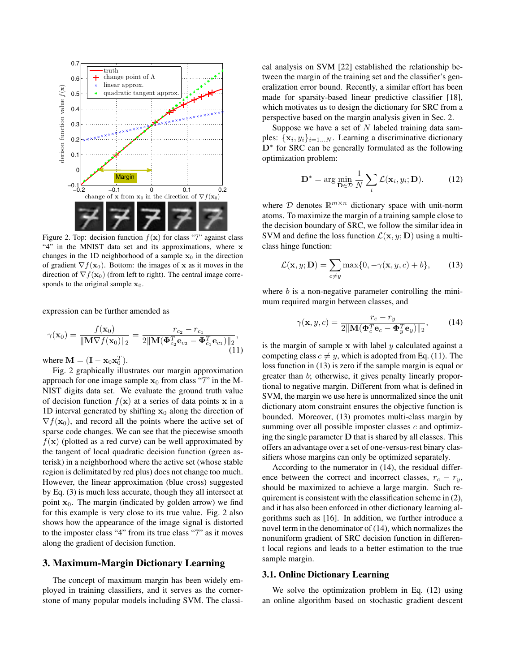

Figure 2. Top: decision function  $f(x)$  for class "7" against class "4" in the MNIST data set and its approximations, where **x** changes in the 1D neighborhood of a sample  $x_0$  in the direction of gradient  $\nabla f(\mathbf{x}_0)$ . Bottom: the images of **x** as it moves in the direction of  $\nabla f(\mathbf{x}_0)$  (from left to right). The central image corresponds to the original sample  $x_0$ .

expression can be further amended as

$$
\gamma(\mathbf{x}_0) = \frac{f(\mathbf{x}_0)}{\|\mathbf{M}\nabla f(\mathbf{x}_0)\|_2} = \frac{r_{c_2} - r_{c_1}}{2\|\mathbf{M}(\mathbf{\Phi}_{c_2}^T \mathbf{e}_{c_2} - \mathbf{\Phi}_{c_1}^T \mathbf{e}_{c_1})\|_2},\tag{11}
$$

where  $\mathbf{M} = (\mathbf{I} - \mathbf{x}_0 \mathbf{x}_0^T).$ 

Fig. 2 graphically illustrates our margin approximation approach for one image sample  $x_0$  from class "7" in the M-NIST digits data set. We evaluate the ground truth value of decision function  $f(x)$  at a series of data points **x** in a 1D interval generated by shifting  $x_0$  along the direction of  $\nabla f(\mathbf{x}_0)$ , and record all the points where the active set of sparse code changes. We can see that the piecewise smooth  $f(\mathbf{x})$  (plotted as a red curve) can be well approximated by the tangent of local quadratic decision function (green asterisk) in a neighborhood where the active set (whose stable region is delimitated by red plus) does not change too much. However, the linear approximation (blue cross) suggested by Eq. (3) is much less accurate, though they all intersect at point  $x_0$ . The margin (indicated by golden arrow) we find for this example is very close to its true value. Fig. 2 also shows how the appearance of the image signal is distorted to the imposter class "4" from its true class "7" as it moves along the gradient of decision function.

### 3. Maximum-Margin Dictionary Learning

The concept of maximum margin has been widely employed in training classifiers, and it serves as the cornerstone of many popular models including SVM. The classical analysis on SVM [22] established the relationship between the margin of the training set and the classifier's generalization error bound. Recently, a similar effort has been made for sparsity-based linear predictive classifier [18], which motivates us to design the dictionary for SRC from a perspective based on the margin analysis given in Sec. 2.

Suppose we have a set of *N* labeled training data samples:  $\{x_i, y_i\}_{i=1...N}$ . Learning a discriminative dictionary **D***<sup>∗</sup>* for SRC can be generally formulated as the following optimization problem:

$$
\mathbf{D}^* = \arg\min_{\mathbf{D}\in\mathcal{D}} \frac{1}{N} \sum_i \mathcal{L}(\mathbf{x}_i, y_i; \mathbf{D}).
$$
 (12)

where  $D$  denotes  $\mathbb{R}^{m \times n}$  dictionary space with unit-norm atoms. To maximize the margin of a training sample close to the decision boundary of SRC, we follow the similar idea in SVM and define the loss function  $\mathcal{L}(\mathbf{x}, y; \mathbf{D})$  using a multiclass hinge function:

$$
\mathcal{L}(\mathbf{x}, y; \mathbf{D}) = \sum_{c \neq y} \max\{0, -\gamma(\mathbf{x}, y, c) + b\},\qquad(13)
$$

where *b* is a non-negative parameter controlling the minimum required margin between classes, and

$$
\gamma(\mathbf{x}, y, c) = \frac{r_c - r_y}{2\|\mathbf{M}(\mathbf{\Phi}_c^T \mathbf{e}_c - \mathbf{\Phi}_y^T \mathbf{e}_y)\|_2},\tag{14}
$$

is the margin of sample **x** with label *y* calculated against a competing class  $c \neq y$ , which is adopted from Eq. (11). The loss function in (13) is zero if the sample margin is equal or greater than *b*; otherwise, it gives penalty linearly proportional to negative margin. Different from what is defined in SVM, the margin we use here is unnormalized since the unit dictionary atom constraint ensures the objective function is bounded. Moreover, (13) promotes multi-class margin by summing over all possible imposter classes *c* and optimizing the single parameter **D** that is shared by all classes. This offers an advantage over a set of one-versus-rest binary classifiers whose margins can only be optimized separately.

According to the numerator in (14), the residual difference between the correct and incorrect classes,  $r_c - r_y$ , should be maximized to achieve a large margin. Such requirement is consistent with the classification scheme in (2), and it has also been enforced in other dictionary learning algorithms such as [16]. In addition, we further introduce a novel term in the denominator of (14), which normalizes the nonuniform gradient of SRC decision function in different local regions and leads to a better estimation to the true sample margin.

#### 3.1. Online Dictionary Learning

We solve the optimization problem in Eq. (12) using an online algorithm based on stochastic gradient descent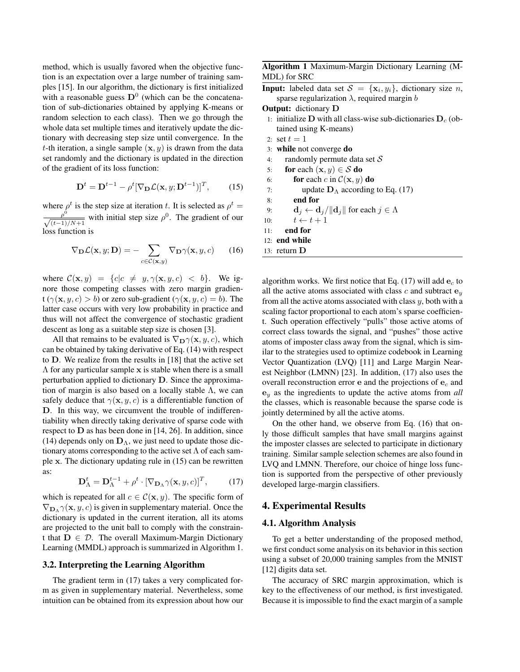method, which is usually favored when the objective function is an expectation over a large number of training samples [15]. In our algorithm, the dictionary is first initialized with a reasonable guess  $D^0$  (which can be the concatenation of sub-dictionaries obtained by applying K-means or random selection to each class). Then we go through the whole data set multiple times and iteratively update the dictionary with decreasing step size until convergence. In the *t*-th iteration, a single sample (**x***, y*) is drawn from the data set randomly and the dictionary is updated in the direction of the gradient of its loss function:

$$
\mathbf{D}^{t} = \mathbf{D}^{t-1} - \rho^{t} [\nabla_{\mathbf{D}} \mathcal{L}(\mathbf{x}, y; \mathbf{D}^{t-1})]^{T}, \qquad (15)
$$

where  $\rho^t$  is the step size at iteration *t*. It is selected as  $\rho^t$  = *ρ* 0 *√*  $\frac{\rho^0}{(t-1)/N+1}$  with initial step size  $\rho^0$ . The gradient of our loss function is

$$
\nabla_{\mathbf{D}} \mathcal{L}(\mathbf{x}, y; \mathbf{D}) = -\sum_{c \in \mathcal{C}(\mathbf{x}, y)} \nabla_{\mathbf{D}} \gamma(\mathbf{x}, y, c) \qquad (16)
$$

where  $C(\mathbf{x}, y) = \{c | c \neq y, \gamma(\mathbf{x}, y, c) < b\}$ . We ignore those competing classes with zero margin gradien $t(\gamma(\mathbf{x}, y, c) > b)$  or zero sub-gradient  $(\gamma(\mathbf{x}, y, c) = b)$ . The latter case occurs with very low probability in practice and thus will not affect the convergence of stochastic gradient descent as long as a suitable step size is chosen [3].

All that remains to be evaluated is  $\nabla_{\mathbf{D}} \gamma(\mathbf{x}, y, c)$ , which can be obtained by taking derivative of Eq. (14) with respect to **D**. We realize from the results in [18] that the active set Λ for any particular sample **x** is stable when there is a small perturbation applied to dictionary **D**. Since the approximation of margin is also based on a locally stable  $\Lambda$ , we can safely deduce that  $\gamma(\mathbf{x}, y, c)$  is a differentiable function of **D**. In this way, we circumvent the trouble of indifferentiability when directly taking derivative of sparse code with respect to **D** as has been done in [14, 26]. In addition, since (14) depends only on  $\mathbf{D}_{\Lambda}$ , we just need to update those dictionary atoms corresponding to the active set  $\Lambda$  of each sample **x**. The dictionary updating rule in (15) can be rewritten as:

$$
\mathbf{D}_{\Lambda}^{t} = \mathbf{D}_{\Lambda}^{t-1} + \rho^{t} \cdot [\nabla_{\mathbf{D}_{\Lambda}} \gamma(\mathbf{x}, y, c)]^{T}, \quad (17)
$$

which is repeated for all  $c \in C(\mathbf{x}, y)$ . The specific form of  $\nabla_{\mathbf{D}_{\Lambda}} \gamma(\mathbf{x}, y, c)$  is given in supplementary material. Once the dictionary is updated in the current iteration, all its atoms are projected to the unit ball to comply with the constraint that  $D \in \mathcal{D}$ . The overall Maximum-Margin Dictionary Learning (MMDL) approach is summarized in Algorithm 1.

## 3.2. Interpreting the Learning Algorithm

The gradient term in (17) takes a very complicated form as given in supplementary material. Nevertheless, some intuition can be obtained from its expression about how our Algorithm 1 Maximum-Margin Dictionary Learning (M-MDL) for SRC

**Input:** labeled data set  $S = {\mathbf{x}_i, y_i}$ , dictionary size *n*, sparse regularization *λ*, required margin *b*

Output: dictionary **D**

- 1: initialize **D** with all class-wise sub-dictionaries  $D_c$  (obtained using K-means)
- 2: set  $t = 1$
- 3: while not converge do
- 4: randomly permute data set *S*
- 5: for each  $(\mathbf{x}, y) \in S$  do
- 6: **for** each *c* in  $C(\mathbf{x}, y)$  do
- 7: update  $D_\Lambda$  according to Eq. (17)
- 8: end for
- 9: **d**<sub>*j*</sub>  $\leftarrow$  **d**<sub>*j*</sub> $\left|\left|\mathbf{d}_j\right|\right|$  for each  $j \in \Lambda$
- 10:  $t \leftarrow t + 1$
- 11: end for
- 12: end while
- 13: return **D**

algorithm works. We first notice that Eq. (17) will add **e***<sup>c</sup>* to all the active atoms associated with class  $c$  and subtract  $e<sub>y</sub>$ from all the active atoms associated with class *y*, both with a scaling factor proportional to each atom's sparse coefficient. Such operation effectively "pulls" those active atoms of correct class towards the signal, and "pushes" those active atoms of imposter class away from the signal, which is similar to the strategies used to optimize codebook in Learning Vector Quantization (LVQ) [11] and Large Margin Nearest Neighbor (LMNN) [23]. In addition, (17) also uses the overall reconstruction error **e** and the projections of **e***<sup>c</sup>* and **e***<sup>y</sup>* as the ingredients to update the active atoms from *all* the classes, which is reasonable because the sparse code is jointly determined by all the active atoms.

On the other hand, we observe from Eq. (16) that only those difficult samples that have small margins against the imposter classes are selected to participate in dictionary training. Similar sample selection schemes are also found in LVQ and LMNN. Therefore, our choice of hinge loss function is supported from the perspective of other previously developed large-margin classifiers.

#### 4. Experimental Results

#### 4.1. Algorithm Analysis

To get a better understanding of the proposed method, we first conduct some analysis on its behavior in this section using a subset of 20,000 training samples from the MNIST [12] digits data set.

The accuracy of SRC margin approximation, which is key to the effectiveness of our method, is first investigated. Because it is impossible to find the exact margin of a sample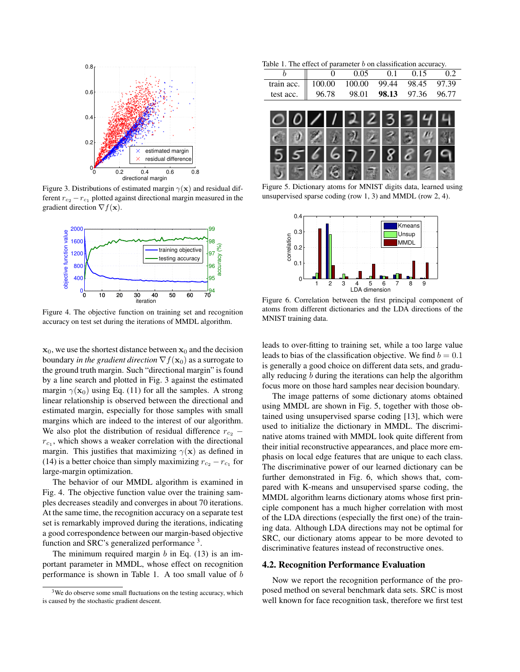

Figure 3. Distributions of estimated margin  $\gamma(\mathbf{x})$  and residual different  $r_{c_2} - r_{c_1}$  plotted against directional margin measured in the gradient direction *∇f*(**x**).



Figure 4. The objective function on training set and recognition accuracy on test set during the iterations of MMDL algorithm.

 $x_0$ , we use the shortest distance between  $x_0$  and the decision boundary *in the gradient direction*  $\nabla f(\mathbf{x}_0)$  as a surrogate to the ground truth margin. Such "directional margin" is found by a line search and plotted in Fig. 3 against the estimated margin  $\gamma(\mathbf{x}_0)$  using Eq. (11) for all the samples. A strong linear relationship is observed between the directional and estimated margin, especially for those samples with small margins which are indeed to the interest of our algorithm. We also plot the distribution of residual difference  $r_{c_2}$  –  $r_{c_1}$ , which shows a weaker correlation with the directional margin. This justifies that maximizing  $\gamma(\mathbf{x})$  as defined in (14) is a better choice than simply maximizing  $r_{c_2} - r_{c_1}$  for large-margin optimization.

The behavior of our MMDL algorithm is examined in Fig. 4. The objective function value over the training samples decreases steadily and converges in about 70 iterations. At the same time, the recognition accuracy on a separate test set is remarkably improved during the iterations, indicating a good correspondence between our margin-based objective function and SRC's generalized performance<sup>3</sup>.

The minimum required margin *b* in Eq. (13) is an important parameter in MMDL, whose effect on recognition performance is shown in Table 1. A too small value of *b*

Table 1. The effect of parameter *b* on classification accuracy.

|                                              |       | 0.05 | $\Omega$ 1 | 0.15                    |  |
|----------------------------------------------|-------|------|------------|-------------------------|--|
| train acc.   100.00 100.00 99.44 98.45 97.39 |       |      |            |                         |  |
| test acc.                                    | 96.78 |      |            | 98.01 98.13 97.36 96.77 |  |
|                                              |       |      |            |                         |  |



Figure 5. Dictionary atoms for MNIST digits data, learned using unsupervised sparse coding (row 1, 3) and MMDL (row 2, 4).



Figure 6. Correlation between the first principal component of atoms from different dictionaries and the LDA directions of the MNIST training data.

leads to over-fitting to training set, while a too large value leads to bias of the classification objective. We find  $b = 0.1$ is generally a good choice on different data sets, and gradually reducing *b* during the iterations can help the algorithm focus more on those hard samples near decision boundary.

The image patterns of some dictionary atoms obtained using MMDL are shown in Fig. 5, together with those obtained using unsupervised sparse coding [13], which were used to initialize the dictionary in MMDL. The discriminative atoms trained with MMDL look quite different from their initial reconstructive appearances, and place more emphasis on local edge features that are unique to each class. The discriminative power of our learned dictionary can be further demonstrated in Fig. 6, which shows that, compared with K-means and unsupervised sparse coding, the MMDL algorithm learns dictionary atoms whose first principle component has a much higher correlation with most of the LDA directions (especially the first one) of the training data. Although LDA directions may not be optimal for SRC, our dictionary atoms appear to be more devoted to discriminative features instead of reconstructive ones.

#### 4.2. Recognition Performance Evaluation

Now we report the recognition performance of the proposed method on several benchmark data sets. SRC is most well known for face recognition task, therefore we first test

<sup>&</sup>lt;sup>3</sup>We do observe some small fluctuations on the testing accuracy, which is caused by the stochastic gradient descent.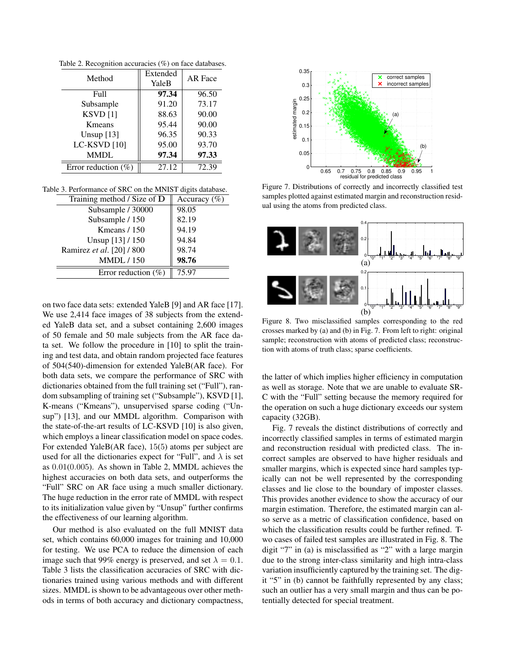| Method                 | Extended<br>YaleB | AR Face |  |
|------------------------|-------------------|---------|--|
| Full                   | 97.34             | 96.50   |  |
| Subsample              | 91.20             | 73.17   |  |
| $KSVD$ [1]             | 88.63             | 90.00   |  |
| Kmeans                 | 95.44             | 90.00   |  |
| Unsup $[13]$           | 96.35             | 90.33   |  |
| LC-KSVD [10]           | 95.00             | 93.70   |  |
| <b>MMDL</b>            | 97.34             | 97.33   |  |
| Error reduction $(\%)$ | 27.12             | 72.39   |  |

Table 2. Recognition accuracies (%) on face databases.

Table 3. Performance of SRC on the MNIST digits database.

| Accuracy $(\% )$ |
|------------------|
| 98.05            |
| 82.19            |
| 94.19            |
| 94.84            |
| 98.74            |
| 98.76            |
| 75.97            |
|                  |

on two face data sets: extended YaleB [9] and AR face [17]. We use 2,414 face images of 38 subjects from the extended YaleB data set, and a subset containing 2,600 images of 50 female and 50 male subjects from the AR face data set. We follow the procedure in [10] to split the training and test data, and obtain random projected face features of 504(540)-dimension for extended YaleB(AR face). For both data sets, we compare the performance of SRC with dictionaries obtained from the full training set ("Full"), random subsampling of training set ("Subsample"), KSVD [1], K-means ("Kmeans"), unsupervised sparse coding ("Unsup") [13], and our MMDL algorithm. Comparison with the state-of-the-art results of LC-KSVD [10] is also given, which employs a linear classification model on space codes. For extended YaleB(AR face), 15(5) atoms per subject are used for all the dictionaries expect for "Full", and  $\lambda$  is set as 0*.*01(0*.*005). As shown in Table 2, MMDL achieves the highest accuracies on both data sets, and outperforms the "Full" SRC on AR face using a much smaller dictionary. The huge reduction in the error rate of MMDL with respect to its initialization value given by "Unsup" further confirms the effectiveness of our learning algorithm.

Our method is also evaluated on the full MNIST data set, which contains 60,000 images for training and 10,000 for testing. We use PCA to reduce the dimension of each image such that 99% energy is preserved, and set  $\lambda = 0.1$ . Table 3 lists the classification accuracies of SRC with dictionaries trained using various methods and with different sizes. MMDL is shown to be advantageous over other methods in terms of both accuracy and dictionary compactness,



Figure 7. Distributions of correctly and incorrectly classified test samples plotted against estimated margin and reconstruction residual using the atoms from predicted class.



Figure 8. Two misclassified samples corresponding to the red crosses marked by (a) and (b) in Fig. 7. From left to right: original sample; reconstruction with atoms of predicted class; reconstruction with atoms of truth class; sparse coefficients.

the latter of which implies higher efficiency in computation as well as storage. Note that we are unable to evaluate SR-C with the "Full" setting because the memory required for the operation on such a huge dictionary exceeds our system capacity (32GB).

Fig. 7 reveals the distinct distributions of correctly and incorrectly classified samples in terms of estimated margin and reconstruction residual with predicted class. The incorrect samples are observed to have higher residuals and smaller margins, which is expected since hard samples typically can not be well represented by the corresponding classes and lie close to the boundary of imposter classes. This provides another evidence to show the accuracy of our margin estimation. Therefore, the estimated margin can also serve as a metric of classification confidence, based on which the classification results could be further refined. Two cases of failed test samples are illustrated in Fig. 8. The digit "7" in (a) is misclassified as "2" with a large margin due to the strong inter-class similarity and high intra-class variation insufficiently captured by the training set. The digit "5" in (b) cannot be faithfully represented by any class; such an outlier has a very small margin and thus can be potentially detected for special treatment.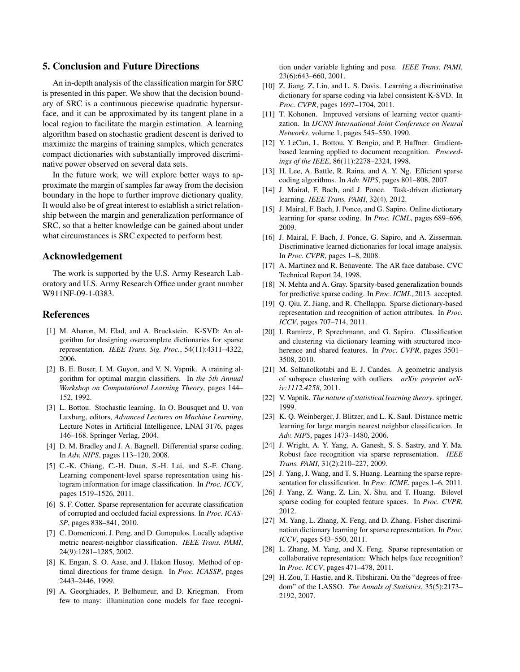## 5. Conclusion and Future Directions

An in-depth analysis of the classification margin for SRC is presented in this paper. We show that the decision boundary of SRC is a continuous piecewise quadratic hypersurface, and it can be approximated by its tangent plane in a local region to facilitate the margin estimation. A learning algorithm based on stochastic gradient descent is derived to maximize the margins of training samples, which generates compact dictionaries with substantially improved discriminative power observed on several data sets.

In the future work, we will explore better ways to approximate the margin of samples far away from the decision boundary in the hope to further improve dictionary quality. It would also be of great interest to establish a strict relationship between the margin and generalization performance of SRC, so that a better knowledge can be gained about under what circumstances is SRC expected to perform best.

## Acknowledgement

The work is supported by the U.S. Army Research Laboratory and U.S. Army Research Office under grant number W911NF-09-1-0383.

## References

- [1] M. Aharon, M. Elad, and A. Bruckstein. K-SVD: An algorithm for designing overcomplete dictionaries for sparse representation. *IEEE Trans. Sig. Proc.*, 54(11):4311–4322, 2006.
- [2] B. E. Boser, I. M. Guyon, and V. N. Vapnik. A training algorithm for optimal margin classifiers. In *the 5th Annual Workshop on Computational Learning Theory*, pages 144– 152, 1992.
- [3] L. Bottou. Stochastic learning. In O. Bousquet and U. von Luxburg, editors, *Advanced Lectures on Machine Learning*, Lecture Notes in Artificial Intelligence, LNAI 3176, pages 146–168. Springer Verlag, 2004.
- [4] D. M. Bradley and J. A. Bagnell. Differential sparse coding. In *Adv. NIPS*, pages 113–120, 2008.
- [5] C.-K. Chiang, C.-H. Duan, S.-H. Lai, and S.-F. Chang. Learning component-level sparse representation using histogram information for image classification. In *Proc. ICCV*, pages 1519–1526, 2011.
- [6] S. F. Cotter. Sparse representation for accurate classification of corrupted and occluded facial expressions. In *Proc. ICAS-SP*, pages 838–841, 2010.
- [7] C. Domeniconi, J. Peng, and D. Gunopulos. Locally adaptive metric nearest-neighbor classification. *IEEE Trans. PAMI*, 24(9):1281–1285, 2002.
- [8] K. Engan, S. O. Aase, and J. Hakon Husoy. Method of optimal directions for frame design. In *Proc. ICASSP*, pages 2443–2446, 1999.
- [9] A. Georghiades, P. Belhumeur, and D. Kriegman. From few to many: illumination cone models for face recogni-

tion under variable lighting and pose. *IEEE Trans. PAMI*, 23(6):643–660, 2001.

- [10] Z. Jiang, Z. Lin, and L. S. Davis. Learning a discriminative dictionary for sparse coding via label consistent K-SVD. In *Proc. CVPR*, pages 1697–1704, 2011.
- [11] T. Kohonen. Improved versions of learning vector quantization. In *IJCNN International Joint Conference on Neural Networks*, volume 1, pages 545–550, 1990.
- [12] Y. LeCun, L. Bottou, Y. Bengio, and P. Haffner. Gradientbased learning applied to document recognition. *Proceedings of the IEEE*, 86(11):2278–2324, 1998.
- [13] H. Lee, A. Battle, R. Raina, and A. Y. Ng. Efficient sparse coding algorithms. In *Adv. NIPS*, pages 801–808, 2007.
- [14] J. Mairal, F. Bach, and J. Ponce. Task-driven dictionary learning. *IEEE Trans. PAMI*, 32(4), 2012.
- [15] J. Mairal, F. Bach, J. Ponce, and G. Sapiro. Online dictionary learning for sparse coding. In *Proc. ICML*, pages 689–696, 2009.
- [16] J. Mairal, F. Bach, J. Ponce, G. Sapiro, and A. Zisserman. Discriminative learned dictionaries for local image analysis. In *Proc. CVPR*, pages 1–8, 2008.
- [17] A. Martinez and R. Benavente. The AR face database. CVC Technical Report 24, 1998.
- [18] N. Mehta and A. Gray. Sparsity-based generalization bounds for predictive sparse coding. In *Proc. ICML*, 2013. accepted.
- [19] Q. Qiu, Z. Jiang, and R. Chellappa. Sparse dictionary-based representation and recognition of action attributes. In *Proc. ICCV*, pages 707–714, 2011.
- [20] I. Ramirez, P. Sprechmann, and G. Sapiro. Classification and clustering via dictionary learning with structured incoherence and shared features. In *Proc. CVPR*, pages 3501– 3508, 2010.
- [21] M. Soltanolkotabi and E. J. Candes. A geometric analysis of subspace clustering with outliers. *arXiv preprint arXiv:1112.4258*, 2011.
- [22] V. Vapnik. *The nature of statistical learning theory*. springer, 1999.
- [23] K. Q. Weinberger, J. Blitzer, and L. K. Saul. Distance metric learning for large margin nearest neighbor classification. In *Adv. NIPS*, pages 1473–1480, 2006.
- [24] J. Wright, A. Y. Yang, A. Ganesh, S. S. Sastry, and Y. Ma. Robust face recognition via sparse representation. *IEEE Trans. PAMI*, 31(2):210–227, 2009.
- [25] J. Yang, J. Wang, and T. S. Huang. Learning the sparse representation for classification. In *Proc. ICME*, pages 1–6, 2011.
- [26] J. Yang, Z. Wang, Z. Lin, X. Shu, and T. Huang. Bilevel sparse coding for coupled feature spaces. In *Proc. CVPR*, 2012.
- [27] M. Yang, L. Zhang, X. Feng, and D. Zhang. Fisher discrimination dictionary learning for sparse representation. In *Proc. ICCV*, pages 543–550, 2011.
- [28] L. Zhang, M. Yang, and X. Feng. Sparse representation or collaborative representation: Which helps face recognition? In *Proc. ICCV*, pages 471–478, 2011.
- [29] H. Zou, T. Hastie, and R. Tibshirani. On the "degrees of freedom" of the LASSO. *The Annals of Statistics*, 35(5):2173– 2192, 2007.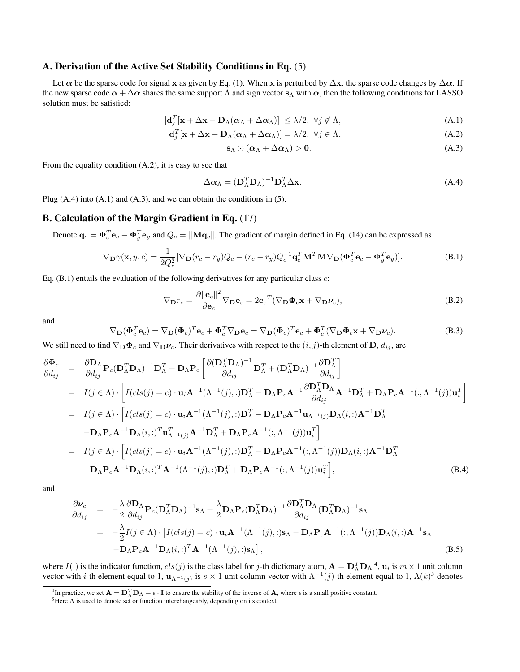## A. Derivation of the Active Set Stability Conditions in Eq. (5)

Let  $\alpha$  be the sparse code for signal **x** as given by Eq. (1). When **x** is perturbed by  $\Delta$ **x**, the sparse code changes by  $\Delta \alpha$ . If the new sparse code  $\alpha + \Delta \alpha$  shares the same support  $\Lambda$  and sign vector  $s_\Lambda$  with  $\alpha$ , then the following conditions for LASSO solution must be satisfied:

$$
|\mathbf{d}_{j}^{T}[\mathbf{x} + \Delta \mathbf{x} - \mathbf{D}_{\Lambda}(\boldsymbol{\alpha}_{\Lambda} + \Delta \boldsymbol{\alpha}_{\Lambda})]| \leq \lambda/2, \ \forall j \notin \Lambda,
$$
\n(A.1)

$$
\mathbf{d}_{j}^{T}[\mathbf{x} + \Delta \mathbf{x} - \mathbf{D}_{\Lambda}(\boldsymbol{\alpha}_{\Lambda} + \Delta \boldsymbol{\alpha}_{\Lambda})] = \lambda/2, \ \forall j \in \Lambda,
$$
\n(A.2)

$$
\mathbf{s}_{\Lambda} \odot (\boldsymbol{\alpha}_{\Lambda} + \Delta \boldsymbol{\alpha}_{\Lambda}) > \mathbf{0}.\tag{A.3}
$$

From the equality condition (A.2), it is easy to see that

$$
\Delta \alpha_{\Lambda} = (\mathbf{D}_{\Lambda}^T \mathbf{D}_{\Lambda})^{-1} \mathbf{D}_{\Lambda}^T \Delta \mathbf{x}.
$$
 (A.4)

Plug  $(A.4)$  into  $(A.1)$  and  $(A.3)$ , and we can obtain the conditions in  $(5)$ .

### B. Calculation of the Margin Gradient in Eq. (17)

Denote  $\mathbf{q}_c = \mathbf{\Phi}_c^T \mathbf{e}_c - \mathbf{\Phi}_y^T \mathbf{e}_y$  and  $Q_c = ||\mathbf{Mq}_c||$ . The gradient of margin defined in Eq. (14) can be expressed as

$$
\nabla_{\mathbf{D}} \gamma(\mathbf{x}, y, c) = \frac{1}{2Q_c^2} [\nabla_{\mathbf{D}} (r_c - r_y) Q_c - (r_c - r_y) Q_c^{-1} \mathbf{q}_c^T \mathbf{M}^T \mathbf{M} \nabla_{\mathbf{D}} (\mathbf{\Phi}_c^T \mathbf{e}_c - \mathbf{\Phi}_y^T \mathbf{e}_y)].
$$
\n(B.1)

Eq. (B.1) entails the evaluation of the following derivatives for any particular class *c*:

$$
\nabla_{\mathbf{D}}r_c = \frac{\partial ||\mathbf{e}_c||^2}{\partial \mathbf{e}_c} \nabla_{\mathbf{D}}\mathbf{e}_c = 2\mathbf{e}_c{}^T (\nabla_{\mathbf{D}}\Phi_c \mathbf{x} + \nabla_{\mathbf{D}}\nu_c),
$$
(B.2)

and

$$
\nabla_{\mathbf{D}}(\mathbf{\Phi}_c^T \mathbf{e}_c) = \nabla_{\mathbf{D}}(\mathbf{\Phi}_c)^T \mathbf{e}_c + \mathbf{\Phi}_c^T \nabla_{\mathbf{D}} \mathbf{e}_c = \nabla_{\mathbf{D}}(\mathbf{\Phi}_c)^T \mathbf{e}_c + \mathbf{\Phi}_c^T (\nabla_{\mathbf{D}} \mathbf{\Phi}_c \mathbf{x} + \nabla_{\mathbf{D}} \nu_c).
$$
(B.3)

We still need to find  $\nabla_{\mathbf{D}} \Phi_c$  and  $\nabla_{\mathbf{D}} \nu_c$ . Their derivatives with respect to the  $(i, j)$ -th element of  $\mathbf{D}$ ,  $d_{ij}$ , are

$$
\frac{\partial \Phi_c}{\partial d_{ij}} = \frac{\partial \mathbf{D}_{\Lambda}}{\partial d_{ij}} \mathbf{P}_c (\mathbf{D}_{\Lambda}^T \mathbf{D}_{\Lambda})^{-1} \mathbf{D}_{\Lambda}^T + \mathbf{D}_{\Lambda} \mathbf{P}_c \left[ \frac{\partial (\mathbf{D}_{\Lambda}^T \mathbf{D}_{\Lambda})^{-1}}{\partial d_{ij}} \mathbf{D}_{\Lambda}^T + (\mathbf{D}_{\Lambda}^T \mathbf{D}_{\Lambda})^{-1} \frac{\partial \mathbf{D}_{\Lambda}^T}{\partial d_{ij}} \right]
$$
\n
$$
= I(j \in \Lambda) \cdot \left[ I(cls(j) = c) \cdot \mathbf{u}_i \mathbf{A}^{-1} (\Lambda^{-1}(j)) : \mathbf{D}_{\Lambda}^T - \mathbf{D}_{\Lambda} \mathbf{P}_c \mathbf{A}^{-1} \frac{\partial \mathbf{D}_{\Lambda}^T \mathbf{D}_{\Lambda}}{\partial d_{ij}} \mathbf{A}^{-1} \mathbf{D}_{\Lambda}^T + \mathbf{D}_{\Lambda} \mathbf{P}_c \mathbf{A}^{-1}(:,\Lambda^{-1}(j)) \mathbf{u}_i^T \right]
$$
\n
$$
= I(j \in \Lambda) \cdot \left[ I(cls(j) = c) \cdot \mathbf{u}_i \mathbf{A}^{-1} (\Lambda^{-1}(j)) : \mathbf{D}_{\Lambda}^T - \mathbf{D}_{\Lambda} \mathbf{P}_c \mathbf{A}^{-1} \mathbf{u}_{\Lambda^{-1}(j)} \mathbf{D}_{\Lambda}(i,:) \mathbf{A}^{-1} \mathbf{D}_{\Lambda}^T + \mathbf{D}_{\Lambda} \mathbf{P}_c \mathbf{A}^{-1} \mathbf{D}_{\Lambda}^T \right]
$$
\n
$$
- \mathbf{D}_{\Lambda} \mathbf{P}_c \mathbf{A}^{-1} \mathbf{D}_{\Lambda}(i,:) = c) \cdot \mathbf{u}_i \mathbf{A}^{-1} (\Lambda^{-1}(j)) : \mathbf{D}_{\Lambda}^T - \mathbf{D}_{\Lambda} \mathbf{P}_c \mathbf{A}^{-1}(:,\Lambda^{-1}(j)) \mathbf{D}_{\Lambda}(i,:) \mathbf{A}^{-1} \mathbf{D}_{\Lambda}^T
$$
\n
$$
- \mathbf{D}_{\Lambda} \mathbf{P}_c \mathbf{A}^{-1} \mathbf{D}_{\Lambda}(i,:) \mathbf{T} \mathbf
$$

and

$$
\frac{\partial \nu_c}{\partial d_{ij}} = -\frac{\lambda}{2} \frac{\partial \mathbf{D}_{\Lambda}}{\partial d_{ij}} \mathbf{P}_c (\mathbf{D}_{\Lambda}^T \mathbf{D}_{\Lambda})^{-1} \mathbf{s}_{\Lambda} + \frac{\lambda}{2} \mathbf{D}_{\Lambda} \mathbf{P}_c (\mathbf{D}_{\Lambda}^T \mathbf{D}_{\Lambda})^{-1} \frac{\partial \mathbf{D}_{\Lambda}^T \mathbf{D}_{\Lambda}}{\partial d_{ij}} (\mathbf{D}_{\Lambda}^T \mathbf{D}_{\Lambda})^{-1} \mathbf{s}_{\Lambda}
$$
  
\n
$$
= -\frac{\lambda}{2} I(j \in \Lambda) \cdot \left[ I(cls(j) = c) \cdot \mathbf{u}_i \mathbf{A}^{-1} (\Lambda^{-1}(j), :) \mathbf{s}_{\Lambda} - \mathbf{D}_{\Lambda} \mathbf{P}_c \mathbf{A}^{-1}(:, \Lambda^{-1}(j)) \mathbf{D}_{\Lambda}(i, :) \mathbf{A}^{-1} \mathbf{s}_{\Lambda} - \mathbf{D}_{\Lambda} \mathbf{P}_c \mathbf{A}^{-1} \mathbf{D}_{\Lambda}(i, :)^T \mathbf{A}^{-1} (\Lambda^{-1}(j), :) \mathbf{s}_{\Lambda} \right],
$$
\n(B.5)

where  $I(\cdot)$  is the indicator function,  $cls(j)$  is the class label for *j*-th dictionary atom,  $\mathbf{A} = \mathbf{D}_{\Lambda}^T \mathbf{D}_{\Lambda}^A$ ,  $\mathbf{u}_i$  is  $m \times 1$  unit column vector with *i*-th element equal to 1,  $\mathbf{u}_{\Lambda^{-1}(j)}$  is  $s \times 1$  unit column vector with  $\Lambda^{-1}(j)$ -th element equal to 1,  $\Lambda(k)^5$  denotes

<sup>&</sup>lt;sup>4</sup>In practice, we set  $\mathbf{A} = \mathbf{D}_{\Lambda}^T \mathbf{D}_{\Lambda} + \epsilon \cdot \mathbf{I}$  to ensure the stability of the inverse of **A**, where  $\epsilon$  is a small positive constant.

 $5$ Here Λ is used to denote set or function interchangeably, depending on its context.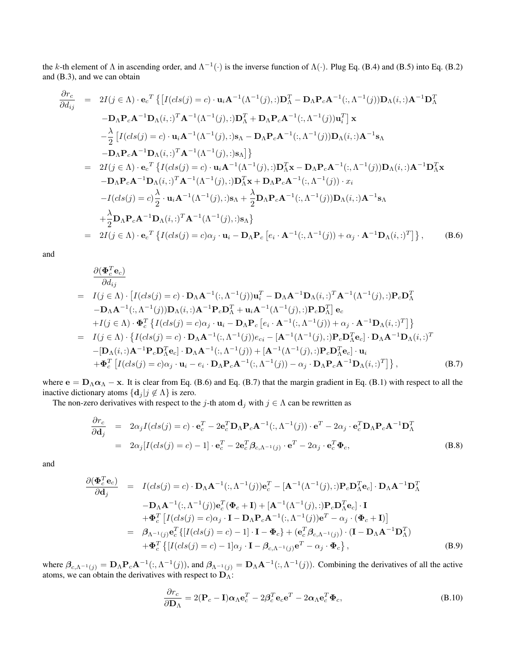the *k*-th element of  $\Lambda$  in ascending order, and  $\Lambda^{-1}(\cdot)$  is the inverse function of  $\Lambda(\cdot)$ . Plug Eq. (B.4) and (B.5) into Eq. (B.2) and (B.3), and we can obtain

$$
\frac{\partial r_c}{\partial d_{ij}} = 2I(j \in \Lambda) \cdot \mathbf{e}_c^T \{ [I(cls(j) = c) \cdot \mathbf{u}_i \mathbf{A}^{-1}(\Lambda^{-1}(j), :)\mathbf{D}_{\Lambda}^T - \mathbf{D}_{\Lambda} \mathbf{P}_c \mathbf{A}^{-1}(:, \Lambda^{-1}(j)) \mathbf{D}_{\Lambda}(i, :)\mathbf{A}^{-1} \mathbf{D}_{\Lambda}^T - \mathbf{D}_{\Lambda} \mathbf{P}_c \mathbf{A}^{-1} \mathbf{D}_{\Lambda}(i, :)\mathbf{A}^{-1} \mathbf{D}_{\Lambda}(i, :)^T \mathbf{A}^{-1}(\Lambda^{-1}(j), :)\mathbf{D}_{\Lambda}^T + \mathbf{D}_{\Lambda} \mathbf{P}_c \mathbf{A}^{-1}(:, \Lambda^{-1}(j)) \mathbf{u}_i^T \} \mathbf{x} \n- \frac{\lambda}{2} [I(cls(j) = c) \cdot \mathbf{u}_i \mathbf{A}^{-1}(\Lambda^{-1}(j), :)\mathbf{s}_{\Lambda} - \mathbf{D}_{\Lambda} \mathbf{P}_c \mathbf{A}^{-1}(:, \Lambda^{-1}(j)) \mathbf{D}_{\Lambda}(i, :)\mathbf{A}^{-1} \mathbf{s}_{\Lambda} \n- \mathbf{D}_{\Lambda} \mathbf{P}_c \mathbf{A}^{-1} \mathbf{D}_{\Lambda}(i, :)^T \mathbf{A}^{-1}(\Lambda^{-1}(j), :)\mathbf{s}_{\Lambda} \} \}
$$
\n
$$
= 2I(j \in \Lambda) \cdot \mathbf{e}_c^T \{ I(cls(j) = c) \cdot \mathbf{u}_i \mathbf{A}^{-1}(\Lambda^{-1}(j), :)\mathbf{D}_{\Lambda}^T \mathbf{x} - \mathbf{D}_{\Lambda} \mathbf{P}_c \mathbf{A}^{-1}(:, \Lambda^{-1}(j)) \mathbf{D}_{\Lambda}(i, :)\mathbf{A}^{-1} \mathbf{D}_{\Lambda}^T \mathbf{x} \n- \mathbf{D}_{\Lambda} \mathbf{P}_c \mathbf{A}^{-1} \mathbf{D}_{\Lambda}(i, :)^T \mathbf{A}^{-1}(\Lambda^{-1}(j), :)\mathbf{D}_{\Lambda}^T \mathbf{x} + \mathbf{D}_{\Lambda} \mathbf{P}_c \mathbf{A}^{-1}(:, \Lambda^{-1}(j)) \mathbf{D}_{\Lambda}(i, :)\mathbf{A}
$$

and

$$
\frac{\partial (\mathbf{\Phi}_{c}^{T} \mathbf{e}_{c})}{\partial d_{ij}} \n= I(j \in \Lambda) \cdot [I(cls(j) = c) \cdot \mathbf{D}_{\Lambda} \mathbf{A}^{-1}(:,\Lambda^{-1}(j)) \mathbf{u}_{i}^{T} - \mathbf{D}_{\Lambda} \mathbf{A}^{-1} \mathbf{D}_{\Lambda}(i,:)^{T} \mathbf{A}^{-1}(\Lambda^{-1}(j), :) \mathbf{P}_{c} \mathbf{D}_{\Lambda}^{T} \n- \mathbf{D}_{\Lambda} \mathbf{A}^{-1}(:,\Lambda^{-1}(j)) \mathbf{D}_{\Lambda}(i,:) \mathbf{A}^{-1} \mathbf{P}_{c} \mathbf{D}_{\Lambda}^{T} + \mathbf{u}_{i} \mathbf{A}^{-1}(\Lambda^{-1}(j), :) \mathbf{P}_{c} \mathbf{D}_{\Lambda}^{T} ] \mathbf{e}_{c} \n+ I(j \in \Lambda) \cdot \mathbf{\Phi}_{c}^{T} \{ I(cls(j) = c) \alpha_{j} \cdot \mathbf{u}_{i} - \mathbf{D}_{\Lambda} \mathbf{P}_{c} [e_{i} \cdot \mathbf{A}^{-1}(:,\Lambda^{-1}(j)) + \alpha_{j} \cdot \mathbf{A}^{-1} \mathbf{D}_{\Lambda}(i,:)^{T}] \} \n= I(j \in \Lambda) \cdot \{ I(cls(j) = c) \cdot \mathbf{D}_{\Lambda} \mathbf{A}^{-1}(:,\Lambda^{-1}(j)) e_{ci} - [\mathbf{A}^{-1}(\Lambda^{-1}(j), :) \mathbf{P}_{c} \mathbf{D}_{\Lambda}^{T} \mathbf{e}_{c}] \cdot \mathbf{D}_{\Lambda} \mathbf{A}^{-1} \mathbf{D}_{\Lambda}(i,:)^{T} - [\mathbf{D}_{\Lambda}(i,:) \mathbf{A}^{-1} \mathbf{P}_{c} \mathbf{D}_{\Lambda}^{T} \mathbf{e}_{c}] \cdot \mathbf{D}_{\Lambda} \mathbf{A}^{-1}(:,\Lambda^{-1}(j)) + [\mathbf{A}^{-1}(\Lambda^{-1}(j), :) \mathbf{P}_{c} \mathbf{D}_{\Lambda}^{T} \mathbf{e}_{c}] \cdot \mathbf{u}_{i} + \mathbf{\Phi}_{c}^{T} [I(cls(j) = c) \alpha_{j} \cdot \mathbf{u}_{i} - e_{i} \cdot \mathbf{D}_{\Lambda} \mathbf{P}_{c} \mathbf{A}^{-1}
$$

where  $\mathbf{e} = \mathbf{D}_{\Lambda} \alpha_{\Lambda} - \mathbf{x}$ . It is clear from Eq. (B.6) and Eq. (B.7) that the margin gradient in Eq. (B.1) with respect to all the inactive dictionary atoms  $\{d_j | j \notin \Lambda\}$  is zero.

The non-zero derivatives with respect to the *j*-th atom  $\mathbf{d}_j$  with  $j \in \Lambda$  can be rewritten as

$$
\frac{\partial r_c}{\partial \mathbf{d}_j} = 2\alpha_j I(cls(j) = c) \cdot \mathbf{e}_c^T - 2\mathbf{e}_c^T \mathbf{D}_{\Lambda} \mathbf{P}_c \mathbf{A}^{-1}(:, \Lambda^{-1}(j)) \cdot \mathbf{e}^T - 2\alpha_j \cdot \mathbf{e}_c^T \mathbf{D}_{\Lambda} \mathbf{P}_c \mathbf{A}^{-1} \mathbf{D}_{\Lambda}^T
$$
  
\n
$$
= 2\alpha_j [I(cls(j) = c) - 1] \cdot \mathbf{e}_c^T - 2\mathbf{e}_c^T \beta_{c,\Lambda^{-1}(j)} \cdot \mathbf{e}^T - 2\alpha_j \cdot \mathbf{e}_c^T \Phi_c,
$$
 (B.8)

and

$$
\frac{\partial(\boldsymbol{\Phi}_{c}^{T}\mathbf{e}_{c})}{\partial \mathbf{d}_{j}} = I(cls(j) = c) \cdot \mathbf{D}_{\Lambda} \mathbf{A}^{-1}(:,\Lambda^{-1}(j)) \mathbf{e}_{c}^{T} - [\mathbf{A}^{-1}(\Lambda^{-1}(j), :) \mathbf{P}_{c} \mathbf{D}_{\Lambda}^{T} \mathbf{e}_{c}] \cdot \mathbf{D}_{\Lambda} \mathbf{A}^{-1} \mathbf{D}_{\Lambda}^{T}
$$
\n
$$
- \mathbf{D}_{\Lambda} \mathbf{A}^{-1}(:,\Lambda^{-1}(j)) \mathbf{e}_{c}^{T} (\boldsymbol{\Phi}_{c} + \mathbf{I}) + [\mathbf{A}^{-1}(\Lambda^{-1}(j), :) \mathbf{P}_{c} \mathbf{D}_{\Lambda}^{T} \mathbf{e}_{c}] \cdot \mathbf{I}
$$
\n
$$
+ \boldsymbol{\Phi}_{c}^{T} [I(cls(j) = c)\alpha_{j} \cdot \mathbf{I} - \mathbf{D}_{\Lambda} \mathbf{P}_{c} \mathbf{A}^{-1}(:,\Lambda^{-1}(j)) \mathbf{e}^{T} - \alpha_{j} \cdot (\boldsymbol{\Phi}_{c} + \mathbf{I})]
$$
\n
$$
= \beta_{\Lambda^{-1}(j)} \mathbf{e}_{c}^{T} \{[I(cls(j) = c) - 1] \cdot \mathbf{I} - \boldsymbol{\Phi}_{c}\} + (\mathbf{e}_{c}^{T} \beta_{c,\Lambda^{-1}(j)}) \cdot (\mathbf{I} - \mathbf{D}_{\Lambda} \mathbf{A}^{-1} \mathbf{D}_{\Lambda}^{T})
$$
\n
$$
+ \boldsymbol{\Phi}_{c}^{T} \{[I(cls(j) = c) - 1]\alpha_{j} \cdot \mathbf{I} - \beta_{c,\Lambda^{-1}(j)} \mathbf{e}^{T} - \alpha_{j} \cdot \boldsymbol{\Phi}_{c}\}, \tag{B.9}
$$

where  $\beta_{c,\Lambda^{-1}(j)} = \mathbf{D}_{\Lambda} \mathbf{P}_c \mathbf{A}^{-1}(:, \Lambda^{-1}(j)),$  and  $\beta_{\Lambda^{-1}(j)} = \mathbf{D}_{\Lambda} \mathbf{A}^{-1}(:, \Lambda^{-1}(j)).$  Combining the derivatives of all the active atoms, we can obtain the derivatives with respect to **D**Λ:

$$
\frac{\partial r_c}{\partial \mathbf{D}_{\Lambda}} = 2(\mathbf{P}_c - \mathbf{I})\alpha_{\Lambda}\mathbf{e}_c^T - 2\beta_c^T \mathbf{e}_c \mathbf{e}^T - 2\alpha_{\Lambda}\mathbf{e}_c^T \mathbf{\Phi}_c, \tag{B.10}
$$